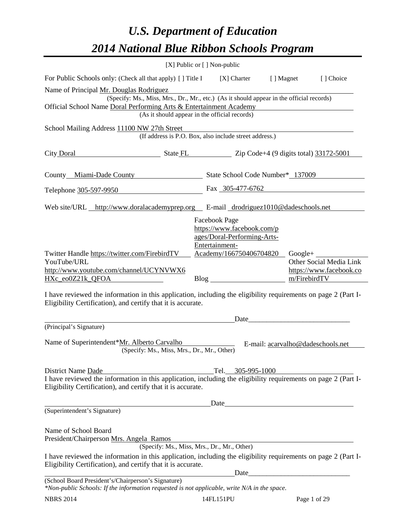# *U.S. Department of Education 2014 National Blue Ribbon Schools Program*

|                                                                                                                                                    | [X] Public or [] Non-public                                                                                                                                                                                                                                                                                       |  |  |  |  |  |  |
|----------------------------------------------------------------------------------------------------------------------------------------------------|-------------------------------------------------------------------------------------------------------------------------------------------------------------------------------------------------------------------------------------------------------------------------------------------------------------------|--|--|--|--|--|--|
| For Public Schools only: (Check all that apply) [] Title I [X] Charter<br>[] Choice<br>[ ] Magnet                                                  |                                                                                                                                                                                                                                                                                                                   |  |  |  |  |  |  |
| Name of Principal Mr. Douglas Rodriguez<br>(Specify: Ms., Miss, Mrs., Dr., Mr., etc.) (As it should appear in the official records)                |                                                                                                                                                                                                                                                                                                                   |  |  |  |  |  |  |
|                                                                                                                                                    | Official School Name Doral Performing Arts & Entertainment Academy                                                                                                                                                                                                                                                |  |  |  |  |  |  |
|                                                                                                                                                    | (As it should appear in the official records)                                                                                                                                                                                                                                                                     |  |  |  |  |  |  |
| School Mailing Address 11100 NW 27th Street                                                                                                        |                                                                                                                                                                                                                                                                                                                   |  |  |  |  |  |  |
|                                                                                                                                                    | (If address is P.O. Box, also include street address.)                                                                                                                                                                                                                                                            |  |  |  |  |  |  |
| City Doral                                                                                                                                         | $\frac{1}{2}$ State FL $\frac{1}{2}$ Zip Code+4 (9 digits total) $\frac{33172-5001}{2}$                                                                                                                                                                                                                           |  |  |  |  |  |  |
| County Miami-Dade County                                                                                                                           | State School Code Number* 137009                                                                                                                                                                                                                                                                                  |  |  |  |  |  |  |
|                                                                                                                                                    |                                                                                                                                                                                                                                                                                                                   |  |  |  |  |  |  |
| Telephone 305-597-9950                                                                                                                             | Fax 305-477-6762                                                                                                                                                                                                                                                                                                  |  |  |  |  |  |  |
| Web site/URL http://www.doralacademyprep.org E-mail drodriguez1010@dadeschools.net                                                                 |                                                                                                                                                                                                                                                                                                                   |  |  |  |  |  |  |
|                                                                                                                                                    | Facebook Page                                                                                                                                                                                                                                                                                                     |  |  |  |  |  |  |
|                                                                                                                                                    | https://www.facebook.com/p<br>ages/Doral-Performing-Arts-                                                                                                                                                                                                                                                         |  |  |  |  |  |  |
|                                                                                                                                                    | Entertainment-                                                                                                                                                                                                                                                                                                    |  |  |  |  |  |  |
| Twitter Handle https://twitter.com/FirebirdTV                                                                                                      | Academy/166750406704820 Google+                                                                                                                                                                                                                                                                                   |  |  |  |  |  |  |
| YouTube/URL<br>http://www.youtube.com/channel/UCYNVWX6                                                                                             | Other Social Media Link<br>https://www.facebook.co                                                                                                                                                                                                                                                                |  |  |  |  |  |  |
| HXc_eo0Z21k_QFOA                                                                                                                                   | m/FirebirdTV                                                                                                                                                                                                                                                                                                      |  |  |  |  |  |  |
| Eligibility Certification), and certify that it is accurate.                                                                                       | I have reviewed the information in this application, including the eligibility requirements on page 2 (Part I-<br>Date                                                                                                                                                                                            |  |  |  |  |  |  |
| (Principal's Signature)                                                                                                                            |                                                                                                                                                                                                                                                                                                                   |  |  |  |  |  |  |
| Name of Superintendent*Mr. Alberto Carvalho<br>(Specify: Ms., Miss, Mrs., Dr., Mr., Other)                                                         | E-mail: acarvalho@dadeschools.net                                                                                                                                                                                                                                                                                 |  |  |  |  |  |  |
| District Name Dade                                                                                                                                 | Tel. 305-995-1000                                                                                                                                                                                                                                                                                                 |  |  |  |  |  |  |
| Eligibility Certification), and certify that it is accurate.                                                                                       | I have reviewed the information in this application, including the eligibility requirements on page 2 (Part I-                                                                                                                                                                                                    |  |  |  |  |  |  |
|                                                                                                                                                    |                                                                                                                                                                                                                                                                                                                   |  |  |  |  |  |  |
| (Superintendent's Signature)                                                                                                                       |                                                                                                                                                                                                                                                                                                                   |  |  |  |  |  |  |
| Name of School Board<br>President/Chairperson Mrs. Angela Ramos                                                                                    |                                                                                                                                                                                                                                                                                                                   |  |  |  |  |  |  |
|                                                                                                                                                    | (Specify: Ms., Miss, Mrs., Dr., Mr., Other)                                                                                                                                                                                                                                                                       |  |  |  |  |  |  |
| Eligibility Certification), and certify that it is accurate.                                                                                       | I have reviewed the information in this application, including the eligibility requirements on page 2 (Part I-                                                                                                                                                                                                    |  |  |  |  |  |  |
| (School Board President's/Chairperson's Signature)<br>*Non-public Schools: If the information requested is not applicable, write N/A in the space. | $Date$ and $Date$ and $Date$ and $Date$ and $Date$ and $Date$ and $Date$ and $Date$ and $Date$ and $Date$ and $Date$ and $Date$ and $Date$ and $Date$ and $Date$ and $Date$ and $Date$ and $Date$ and $Date$ and $Date$ and $Date$ and $Date$ and $Date$ and $Date$ and $Date$ and $Date$ and $Date$ and $Date$ a |  |  |  |  |  |  |
| <b>NBRS 2014</b>                                                                                                                                   | 14FL151PU<br>Page 1 of 29                                                                                                                                                                                                                                                                                         |  |  |  |  |  |  |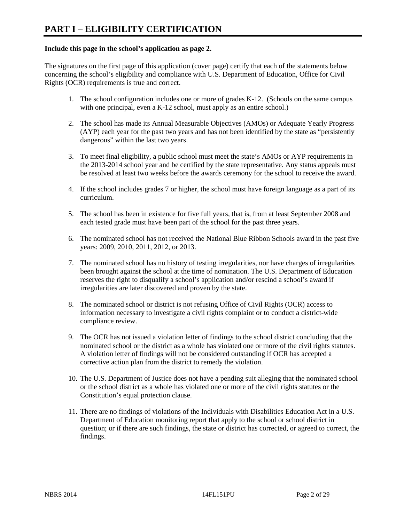#### **Include this page in the school's application as page 2.**

The signatures on the first page of this application (cover page) certify that each of the statements below concerning the school's eligibility and compliance with U.S. Department of Education, Office for Civil Rights (OCR) requirements is true and correct.

- 1. The school configuration includes one or more of grades K-12. (Schools on the same campus with one principal, even a K-12 school, must apply as an entire school.)
- 2. The school has made its Annual Measurable Objectives (AMOs) or Adequate Yearly Progress (AYP) each year for the past two years and has not been identified by the state as "persistently dangerous" within the last two years.
- 3. To meet final eligibility, a public school must meet the state's AMOs or AYP requirements in the 2013-2014 school year and be certified by the state representative. Any status appeals must be resolved at least two weeks before the awards ceremony for the school to receive the award.
- 4. If the school includes grades 7 or higher, the school must have foreign language as a part of its curriculum.
- 5. The school has been in existence for five full years, that is, from at least September 2008 and each tested grade must have been part of the school for the past three years.
- 6. The nominated school has not received the National Blue Ribbon Schools award in the past five years: 2009, 2010, 2011, 2012, or 2013.
- 7. The nominated school has no history of testing irregularities, nor have charges of irregularities been brought against the school at the time of nomination. The U.S. Department of Education reserves the right to disqualify a school's application and/or rescind a school's award if irregularities are later discovered and proven by the state.
- 8. The nominated school or district is not refusing Office of Civil Rights (OCR) access to information necessary to investigate a civil rights complaint or to conduct a district-wide compliance review.
- 9. The OCR has not issued a violation letter of findings to the school district concluding that the nominated school or the district as a whole has violated one or more of the civil rights statutes. A violation letter of findings will not be considered outstanding if OCR has accepted a corrective action plan from the district to remedy the violation.
- 10. The U.S. Department of Justice does not have a pending suit alleging that the nominated school or the school district as a whole has violated one or more of the civil rights statutes or the Constitution's equal protection clause.
- 11. There are no findings of violations of the Individuals with Disabilities Education Act in a U.S. Department of Education monitoring report that apply to the school or school district in question; or if there are such findings, the state or district has corrected, or agreed to correct, the findings.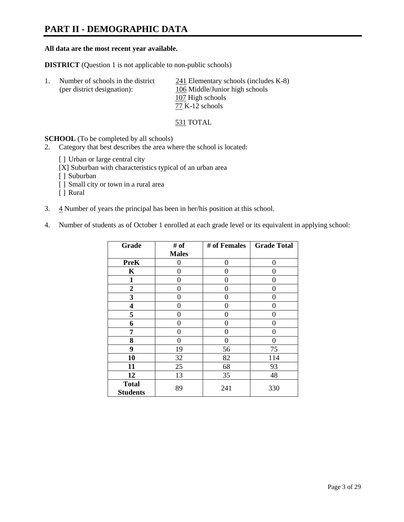## **PART II - DEMOGRAPHIC DATA**

#### **All data are the most recent year available.**

**DISTRICT** (Question 1 is not applicable to non-public schools)

| Number of schools in the district | $241$ Elementary schools (includes K-8) |
|-----------------------------------|-----------------------------------------|
| (per district designation):       | 106 Middle/Junior high schools          |
|                                   | 107 High schools                        |
|                                   | 77 K-12 schools                         |

531 TOTAL

**SCHOOL** (To be completed by all schools)

- 2. Category that best describes the area where the school is located:
	- [] Urban or large central city
	- [X] Suburban with characteristics typical of an urban area
	- [ ] Suburban
	- [ ] Small city or town in a rural area
	- [ ] Rural
- 3.  $\frac{4}{3}$  Number of years the principal has been in her/his position at this school.
- 4. Number of students as of October 1 enrolled at each grade level or its equivalent in applying school:

| Grade                           | # of         | # of Females | <b>Grade Total</b> |
|---------------------------------|--------------|--------------|--------------------|
|                                 | <b>Males</b> |              |                    |
| <b>PreK</b>                     | 0            | 0            | 0                  |
| K                               | 0            | 0            | 0                  |
| $\mathbf{1}$                    | 0            | 0            | 0                  |
| $\overline{2}$                  | 0            | 0            | 0                  |
| 3                               | 0            | 0            | 0                  |
| 4                               | 0            | 0            | 0                  |
| 5                               | 0            | 0            | 0                  |
| 6                               | 0            | 0            | 0                  |
| 7                               | 0            | 0            | 0                  |
| 8                               | 0            | 0            | 0                  |
| 9                               | 19           | 56           | 75                 |
| 10                              | 32           | 82           | 114                |
| 11                              | 25           | 68           | 93                 |
| 12                              | 13           | 35           | 48                 |
| <b>Total</b><br><b>Students</b> | 89           | 241          | 330                |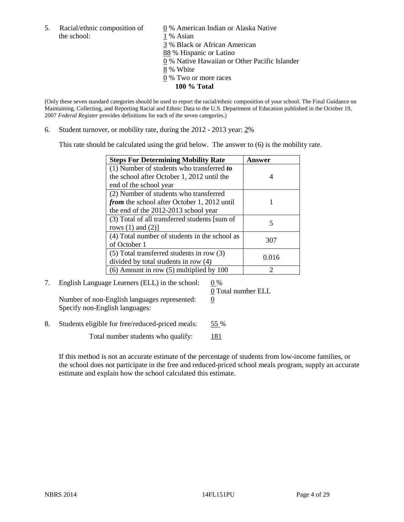the school: 1 % Asian

5. Racial/ethnic composition of  $\qquad \qquad \underline{0}$  % American Indian or Alaska Native 3 % Black or African American 88 % Hispanic or Latino 0 % Native Hawaiian or Other Pacific Islander 8 % White 0 % Two or more races **100 % Total** 

(Only these seven standard categories should be used to report the racial/ethnic composition of your school. The Final Guidance on Maintaining, Collecting, and Reporting Racial and Ethnic Data to the U.S. Department of Education published in the October 19, 2007 *Federal Register* provides definitions for each of the seven categories.)

6. Student turnover, or mobility rate, during the 2012 - 2013 year: 2%

This rate should be calculated using the grid below. The answer to (6) is the mobility rate.

| <b>Steps For Determining Mobility Rate</b>         | <b>Answer</b> |
|----------------------------------------------------|---------------|
| (1) Number of students who transferred to          |               |
| the school after October 1, 2012 until the         |               |
| end of the school year                             |               |
| (2) Number of students who transferred             |               |
| <i>from</i> the school after October 1, 2012 until |               |
| the end of the 2012-2013 school year               |               |
| (3) Total of all transferred students [sum of      |               |
| rows $(1)$ and $(2)$ ]                             |               |
| (4) Total number of students in the school as      | 307           |
| of October 1                                       |               |
| $(5)$ Total transferred students in row $(3)$      | 0.016         |
| divided by total students in row (4)               |               |
| $(6)$ Amount in row $(5)$ multiplied by 100        | っ             |

7. English Language Learners (ELL) in the school:  $0\%$ Number of non-English languages represented:  $0$ Specify non-English languages:

0 Total number ELL

8. Students eligible for free/reduced-priced meals: 55 %

Total number students who qualify: 181

If this method is not an accurate estimate of the percentage of students from low-income families, or the school does not participate in the free and reduced-priced school meals program, supply an accurate estimate and explain how the school calculated this estimate.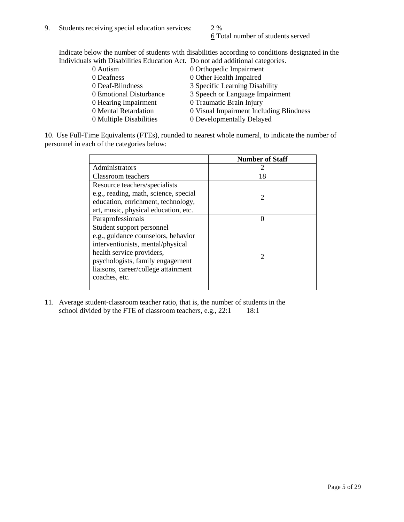6 Total number of students served

Indicate below the number of students with disabilities according to conditions designated in the Individuals with Disabilities Education Act. Do not add additional categories.

| 0 Autism                | 0 Orthopedic Impairment                 |
|-------------------------|-----------------------------------------|
| 0 Deafness              | 0 Other Health Impaired                 |
| 0 Deaf-Blindness        | 3 Specific Learning Disability          |
| 0 Emotional Disturbance | 3 Speech or Language Impairment         |
| 0 Hearing Impairment    | 0 Traumatic Brain Injury                |
| 0 Mental Retardation    | 0 Visual Impairment Including Blindness |
| 0 Multiple Disabilities | 0 Developmentally Delayed               |
|                         |                                         |

10. Use Full-Time Equivalents (FTEs), rounded to nearest whole numeral, to indicate the number of personnel in each of the categories below:

|                                       | <b>Number of Staff</b> |
|---------------------------------------|------------------------|
| Administrators                        |                        |
| Classroom teachers                    | 18                     |
| Resource teachers/specialists         |                        |
| e.g., reading, math, science, special | $\mathcal{D}$          |
| education, enrichment, technology,    |                        |
| art, music, physical education, etc.  |                        |
| Paraprofessionals                     |                        |
| Student support personnel             |                        |
| e.g., guidance counselors, behavior   |                        |
| interventionists, mental/physical     |                        |
| health service providers,             |                        |
| psychologists, family engagement      |                        |
| liaisons, career/college attainment   |                        |
| coaches, etc.                         |                        |
|                                       |                        |

11. Average student-classroom teacher ratio, that is, the number of students in the school divided by the FTE of classroom teachers, e.g.,  $22:1$  18:1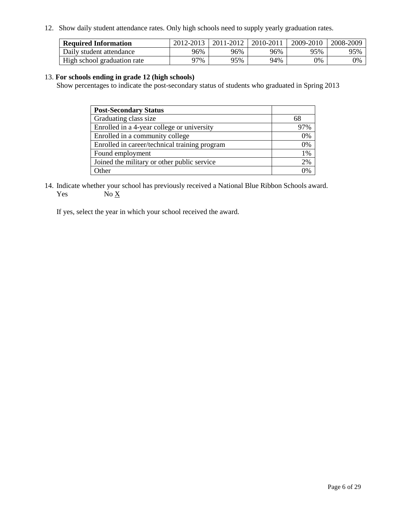12. Show daily student attendance rates. Only high schools need to supply yearly graduation rates.

| <b>Required Information</b> | 2012-2013 | 2011-2012 | 2010-2011 | 2009-2010 | 2008-2009 |
|-----------------------------|-----------|-----------|-----------|-----------|-----------|
| Daily student attendance    | 96%       | 96%       | 96%       | 95%       | 95%       |
| High school graduation rate | ว7%       | 95%       | 94%       | 0%        | 0%        |

#### 13. **For schools ending in grade 12 (high schools)**

Show percentages to indicate the post-secondary status of students who graduated in Spring 2013

| <b>Post-Secondary Status</b>                  |       |
|-----------------------------------------------|-------|
| Graduating class size                         | 68    |
| Enrolled in a 4-year college or university    | 97%   |
| Enrolled in a community college               | 0%    |
| Enrolled in career/technical training program | 0%    |
| Found employment                              | $1\%$ |
| Joined the military or other public service   | 2%    |
| <b>Other</b>                                  | 2%    |

14. Indicate whether your school has previously received a National Blue Ribbon Schools award. Yes  $No \underline{X}$ 

If yes, select the year in which your school received the award.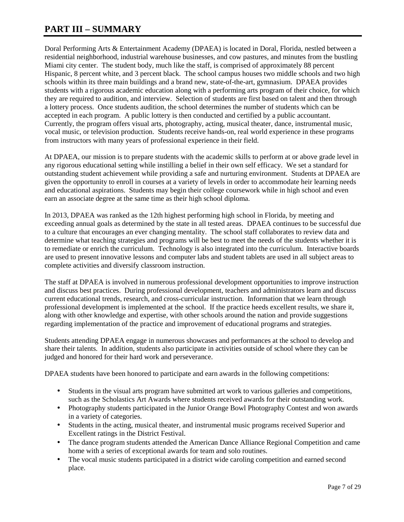## **PART III – SUMMARY**

Doral Performing Arts & Entertainment Academy (DPAEA) is located in Doral, Florida, nestled between a residential neighborhood, industrial warehouse businesses, and cow pastures, and minutes from the bustling Miami city center. The student body, much like the staff, is comprised of approximately 88 percent Hispanic, 8 percent white, and 3 percent black. The school campus houses two middle schools and two high schools within its three main buildings and a brand new, state-of-the-art, gymnasium. DPAEA provides students with a rigorous academic education along with a performing arts program of their choice, for which they are required to audition, and interview. Selection of students are first based on talent and then through a lottery process. Once students audition, the school determines the number of students which can be accepted in each program. A public lottery is then conducted and certified by a public accountant. Currently, the program offers visual arts, photography, acting, musical theater, dance, instrumental music, vocal music, or television production. Students receive hands-on, real world experience in these programs from instructors with many years of professional experience in their field.

At DPAEA, our mission is to prepare students with the academic skills to perform at or above grade level in any rigorous educational setting while instilling a belief in their own self efficacy. We set a standard for outstanding student achievement while providing a safe and nurturing environment. Students at DPAEA are given the opportunity to enroll in courses at a variety of levels in order to accommodate heir learning needs and educational aspirations. Students may begin their college coursework while in high school and even earn an associate degree at the same time as their high school diploma.

In 2013, DPAEA was ranked as the 12th highest performing high school in Florida, by meeting and exceeding annual goals as determined by the state in all tested areas. DPAEA continues to be successful due to a culture that encourages an ever changing mentality. The school staff collaborates to review data and determine what teaching strategies and programs will be best to meet the needs of the students whether it is to remediate or enrich the curriculum. Technology is also integrated into the curriculum. Interactive boards are used to present innovative lessons and computer labs and student tablets are used in all subject areas to complete activities and diversify classroom instruction.

The staff at DPAEA is involved in numerous professional development opportunities to improve instruction and discuss best practices. During professional development, teachers and administrators learn and discuss current educational trends, research, and cross-curricular instruction. Information that we learn through professional development is implemented at the school. If the practice heeds excellent results, we share it, along with other knowledge and expertise, with other schools around the nation and provide suggestions regarding implementation of the practice and improvement of educational programs and strategies.

Students attending DPAEA engage in numerous showcases and performances at the school to develop and share their talents. In addition, students also participate in activities outside of school where they can be judged and honored for their hard work and perseverance.

DPAEA students have been honored to participate and earn awards in the following competitions:

- Students in the visual arts program have submitted art work to various galleries and competitions, such as the Scholastics Art Awards where students received awards for their outstanding work.
- Photography students participated in the Junior Orange Bowl Photography Contest and won awards in a variety of categories.
- Students in the acting, musical theater, and instrumental music programs received Superior and Excellent ratings in the District Festival.
- The dance program students attended the American Dance Alliance Regional Competition and came home with a series of exceptional awards for team and solo routines.
- The vocal music students participated in a district wide caroling competition and earned second place.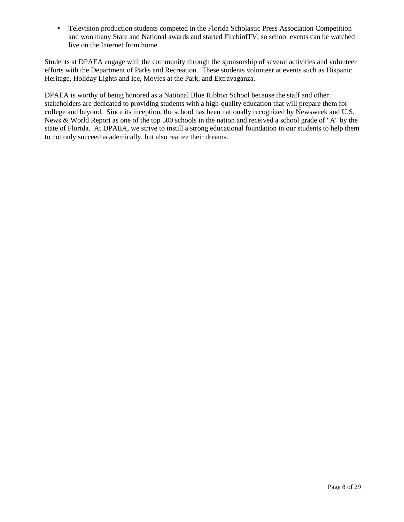• Television production students competed in the Florida Scholastic Press Association Competition and won many State and National awards and started FirebirdTV, so school events can be watched live on the Internet from home.

Students at DPAEA engage with the community through the sponsorship of several activities and volunteer efforts with the Department of Parks and Recreation. These students volunteer at events such as Hispanic Heritage, Holiday Lights and Ice, Movies at the Park, and Extravaganza.

DPAEA is worthy of being honored as a National Blue Ribbon School because the staff and other stakeholders are dedicated to providing students with a high-quality education that will prepare them for college and beyond. Since its inception, the school has been nationally recognized by Newsweek and U.S. News & World Report as one of the top 500 schools in the nation and received a school grade of "A" by the state of Florida. At DPAEA, we strive to instill a strong educational foundation in our students to help them to not only succeed academically, but also realize their dreams.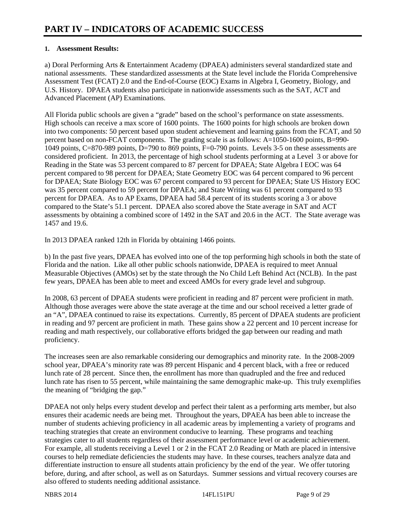#### **1. Assessment Results:**

a) Doral Performing Arts & Entertainment Academy (DPAEA) administers several standardized state and national assessments. These standardized assessments at the State level include the Florida Comprehensive Assessment Test (FCAT) 2.0 and the End-of-Course (EOC) Exams in Algebra I, Geometry, Biology, and U.S. History. DPAEA students also participate in nationwide assessments such as the SAT, ACT and Advanced Placement (AP) Examinations.

All Florida public schools are given a "grade" based on the school's performance on state assessments. High schools can receive a max score of 1600 points. The 1600 points for high schools are broken down into two components: 50 percent based upon student achievement and learning gains from the FCAT, and 50 percent based on non-FCAT components. The grading scale is as follows: A=1050-1600 points, B=990- 1049 points, C=870-989 points, D=790 to 869 points, F=0-790 points. Levels 3-5 on these assessments are considered proficient. In 2013, the percentage of high school students performing at a Level 3 or above for Reading in the State was 53 percent compared to 87 percent for DPAEA; State Algebra I EOC was 64 percent compared to 98 percent for DPAEA; State Geometry EOC was 64 percent compared to 96 percent for DPAEA; State Biology EOC was 67 percent compared to 93 percent for DPAEA; State US History EOC was 35 percent compared to 59 percent for DPAEA; and State Writing was 61 percent compared to 93 percent for DPAEA. As to AP Exams, DPAEA had 58.4 percent of its students scoring a 3 or above compared to the State's 51.1 percent. DPAEA also scored above the State average in SAT and ACT assessments by obtaining a combined score of 1492 in the SAT and 20.6 in the ACT. The State average was 1457 and 19.6.

In 2013 DPAEA ranked 12th in Florida by obtaining 1466 points.

b) In the past five years, DPAEA has evolved into one of the top performing high schools in both the state of Florida and the nation. Like all other public schools nationwide, DPAEA is required to meet Annual Measurable Objectives (AMOs) set by the state through the No Child Left Behind Act (NCLB). In the past few years, DPAEA has been able to meet and exceed AMOs for every grade level and subgroup.

In 2008, 63 percent of DPAEA students were proficient in reading and 87 percent were proficient in math. Although those averages were above the state average at the time and our school received a letter grade of an "A", DPAEA continued to raise its expectations. Currently, 85 percent of DPAEA students are proficient in reading and 97 percent are proficient in math. These gains show a 22 percent and 10 percent increase for reading and math respectively, our collaborative efforts bridged the gap between our reading and math proficiency.

The increases seen are also remarkable considering our demographics and minority rate. In the 2008-2009 school year, DPAEA's minority rate was 89 percent Hispanic and 4 percent black, with a free or reduced lunch rate of 28 percent. Since then, the enrollment has more than quadrupled and the free and reduced lunch rate has risen to 55 percent, while maintaining the same demographic make-up. This truly exemplifies the meaning of "bridging the gap."

DPAEA not only helps every student develop and perfect their talent as a performing arts member, but also ensures their academic needs are being met. Throughout the years, DPAEA has been able to increase the number of students achieving proficiency in all academic areas by implementing a variety of programs and teaching strategies that create an environment conducive to learning. These programs and teaching strategies cater to all students regardless of their assessment performance level or academic achievement. For example, all students receiving a Level 1 or 2 in the FCAT 2.0 Reading or Math are placed in intensive courses to help remediate deficiencies the students may have. In these courses, teachers analyze data and differentiate instruction to ensure all students attain proficiency by the end of the year. We offer tutoring before, during, and after school, as well as on Saturdays. Summer sessions and virtual recovery courses are also offered to students needing additional assistance.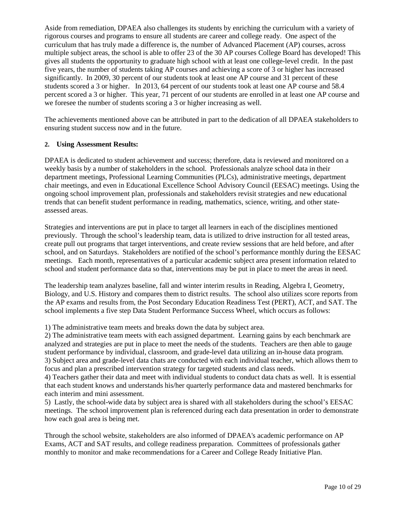Aside from remediation, DPAEA also challenges its students by enriching the curriculum with a variety of rigorous courses and programs to ensure all students are career and college ready. One aspect of the curriculum that has truly made a difference is, the number of Advanced Placement (AP) courses, across multiple subject areas, the school is able to offer 23 of the 30 AP courses College Board has developed! This gives all students the opportunity to graduate high school with at least one college-level credit. In the past five years, the number of students taking AP courses and achieving a score of 3 or higher has increased significantly. In 2009, 30 percent of our students took at least one AP course and 31 percent of these students scored a 3 or higher. In 2013, 64 percent of our students took at least one AP course and 58.4 percent scored a 3 or higher. This year, 71 percent of our students are enrolled in at least one AP course and we foresee the number of students scoring a 3 or higher increasing as well.

The achievements mentioned above can be attributed in part to the dedication of all DPAEA stakeholders to ensuring student success now and in the future.

#### **2. Using Assessment Results:**

DPAEA is dedicated to student achievement and success; therefore, data is reviewed and monitored on a weekly basis by a number of stakeholders in the school. Professionals analyze school data in their department meetings, Professional Learning Communities (PLCs), administrative meetings, department chair meetings, and even in Educational Excellence School Advisory Council (EESAC) meetings. Using the ongoing school improvement plan, professionals and stakeholders revisit strategies and new educational trends that can benefit student performance in reading, mathematics, science, writing, and other stateassessed areas.

Strategies and interventions are put in place to target all learners in each of the disciplines mentioned previously. Through the school's leadership team, data is utilized to drive instruction for all tested areas, create pull out programs that target interventions, and create review sessions that are held before, and after school, and on Saturdays. Stakeholders are notified of the school's performance monthly during the EESAC meetings. Each month, representatives of a particular academic subject area present information related to school and student performance data so that, interventions may be put in place to meet the areas in need.

The leadership team analyzes baseline, fall and winter interim results in Reading, Algebra I, Geometry, Biology, and U.S. History and compares them to district results. The school also utilizes score reports from the AP exams and results from, the Post Secondary Education Readiness Test (PERT), ACT, and SAT. The school implements a five step Data Student Performance Success Wheel, which occurs as follows:

1) The administrative team meets and breaks down the data by subject area.

2) The administrative team meets with each assigned department. Learning gains by each benchmark are analyzed and strategies are put in place to meet the needs of the students. Teachers are then able to gauge student performance by individual, classroom, and grade-level data utilizing an in-house data program. 3) Subject area and grade-level data chats are conducted with each individual teacher, which allows them to focus and plan a prescribed intervention strategy for targeted students and class needs.

4) Teachers gather their data and meet with individual students to conduct data chats as well. It is essential that each student knows and understands his/her quarterly performance data and mastered benchmarks for each interim and mini assessment.

5) Lastly, the school-wide data by subject area is shared with all stakeholders during the school's EESAC meetings. The school improvement plan is referenced during each data presentation in order to demonstrate how each goal area is being met.

Through the school website, stakeholders are also informed of DPAEA's academic performance on AP Exams, ACT and SAT results, and college readiness preparation. Committees of professionals gather monthly to monitor and make recommendations for a Career and College Ready Initiative Plan.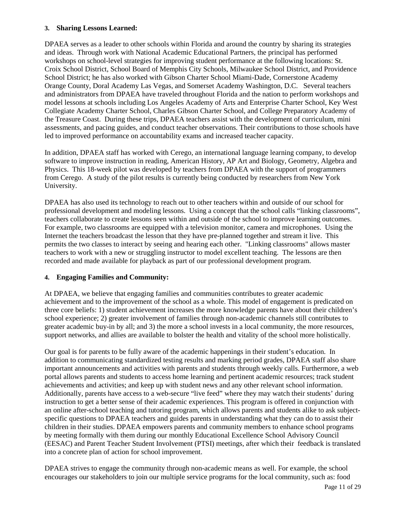#### **3. Sharing Lessons Learned:**

DPAEA serves as a leader to other schools within Florida and around the country by sharing its strategies and ideas. Through work with National Academic Educational Partners, the principal has performed workshops on school-level strategies for improving student performance at the following locations: St. Croix School District, School Board of Memphis City Schools, Milwaukee School District, and Providence School District; he has also worked with Gibson Charter School Miami-Dade, Cornerstone Academy Orange County, Doral Academy Las Vegas, and Somerset Academy Washington, D.C. Several teachers and administrators from DPAEA have traveled throughout Florida and the nation to perform workshops and model lessons at schools including Los Angeles Academy of Arts and Enterprise Charter School, Key West Collegiate Academy Charter School, Charles Gibson Charter School, and College Preparatory Academy of the Treasure Coast. During these trips, DPAEA teachers assist with the development of curriculum, mini assessments, and pacing guides, and conduct teacher observations. Their contributions to those schools have led to improved performance on accountability exams and increased teacher capacity.

In addition, DPAEA staff has worked with Cerego, an international language learning company, to develop software to improve instruction in reading, American History, AP Art and Biology, Geometry, Algebra and Physics. This 18-week pilot was developed by teachers from DPAEA with the support of programmers from Cerego. A study of the pilot results is currently being conducted by researchers from New York University.

DPAEA has also used its technology to reach out to other teachers within and outside of our school for professional development and modeling lessons. Using a concept that the school calls "linking classrooms", teachers collaborate to create lessons seen within and outside of the school to improve learning outcomes. For example, two classrooms are equipped with a television monitor, camera and microphones. Using the Internet the teachers broadcast the lesson that they have pre-planned together and stream it live. This permits the two classes to interact by seeing and hearing each other. "Linking classrooms" allows master teachers to work with a new or struggling instructor to model excellent teaching. The lessons are then recorded and made available for playback as part of our professional development program.

#### **4. Engaging Families and Community:**

At DPAEA, we believe that engaging families and communities contributes to greater academic achievement and to the improvement of the school as a whole. This model of engagement is predicated on three core beliefs: 1) student achievement increases the more knowledge parents have about their children's school experience; 2) greater involvement of families through non-academic channels still contributes to greater academic buy-in by all; and 3) the more a school invests in a local community, the more resources, support networks, and allies are available to bolster the health and vitality of the school more holistically.

Our goal is for parents to be fully aware of the academic happenings in their student's education. In addition to communicating standardized testing results and marking period grades, DPAEA staff also share important announcements and activities with parents and students through weekly calls. Furthermore, a web portal allows parents and students to access home learning and pertinent academic resources; track student achievements and activities; and keep up with student news and any other relevant school information. Additionally, parents have access to a web-secure "live feed" where they may watch their students' during instruction to get a better sense of their academic experiences. This program is offered in conjunction with an online after-school teaching and tutoring program, which allows parents and students alike to ask subjectspecific questions to DPAEA teachers and guides parents in understanding what they can do to assist their children in their studies. DPAEA empowers parents and community members to enhance school programs by meeting formally with them during our monthly Educational Excellence School Advisory Council (EESAC) and Parent Teacher Student Involvement (PTSI) meetings, after which their feedback is translated into a concrete plan of action for school improvement.

DPAEA strives to engage the community through non-academic means as well. For example, the school encourages our stakeholders to join our multiple service programs for the local community, such as: food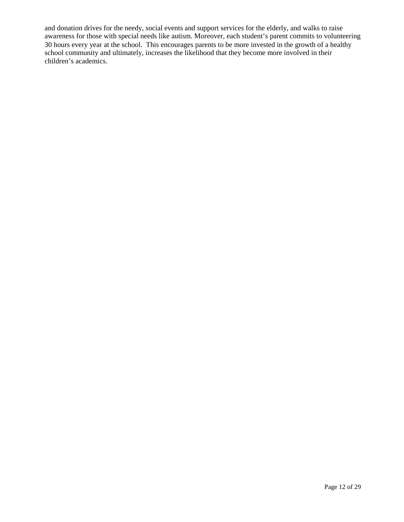and donation drives for the needy, social events and support services for the elderly, and walks to raise awareness for those with special needs like autism. Moreover, each student's parent commits to volunteering 30 hours every year at the school. This encourages parents to be more invested in the growth of a healthy school community and ultimately, increases the likelihood that they become more involved in their children's academics.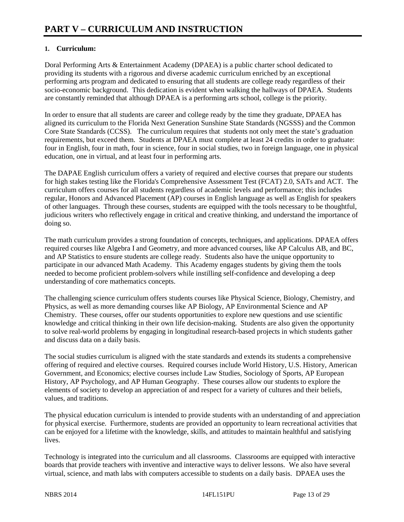### **1. Curriculum:**

Doral Performing Arts & Entertainment Academy (DPAEA) is a public charter school dedicated to providing its students with a rigorous and diverse academic curriculum enriched by an exceptional performing arts program and dedicated to ensuring that all students are college ready regardless of their socio-economic background. This dedication is evident when walking the hallways of DPAEA. Students are constantly reminded that although DPAEA is a performing arts school, college is the priority.

In order to ensure that all students are career and college ready by the time they graduate, DPAEA has aligned its curriculum to the Florida Next Generation Sunshine State Standards (NGSSS) and the Common Core State Standards (CCSS). The curriculum requires that students not only meet the state's graduation requirements, but exceed them. Students at DPAEA must complete at least 24 credits in order to graduate: four in English, four in math, four in science, four in social studies, two in foreign language, one in physical education, one in virtual, and at least four in performing arts.

The DAPAE English curriculum offers a variety of required and elective courses that prepare our students for high stakes testing like the Florida's Comprehensive Assessment Test (FCAT) 2.0, SATs and ACT. The curriculum offers courses for all students regardless of academic levels and performance; this includes regular, Honors and Advanced Placement (AP) courses in English language as well as English for speakers of other languages. Through these courses, students are equipped with the tools necessary to be thoughtful, judicious writers who reflectively engage in critical and creative thinking, and understand the importance of doing so.

The math curriculum provides a strong foundation of concepts, techniques, and applications. DPAEA offers required courses like Algebra I and Geometry, and more advanced courses, like AP Calculus AB, and BC, and AP Statistics to ensure students are college ready. Students also have the unique opportunity to participate in our advanced Math Academy. This Academy engages students by giving them the tools needed to become proficient problem-solvers while instilling self-confidence and developing a deep understanding of core mathematics concepts.

The challenging science curriculum offers students courses like Physical Science, Biology, Chemistry, and Physics, as well as more demanding courses like AP Biology, AP Environmental Science and AP Chemistry. These courses, offer our students opportunities to explore new questions and use scientific knowledge and critical thinking in their own life decision-making. Students are also given the opportunity to solve real-world problems by engaging in longitudinal research-based projects in which students gather and discuss data on a daily basis.

The social studies curriculum is aligned with the state standards and extends its students a comprehensive offering of required and elective courses. Required courses include World History, U.S. History, American Government, and Economics; elective courses include Law Studies, Sociology of Sports, AP European History, AP Psychology, and AP Human Geography. These courses allow our students to explore the elements of society to develop an appreciation of and respect for a variety of cultures and their beliefs, values, and traditions.

The physical education curriculum is intended to provide students with an understanding of and appreciation for physical exercise. Furthermore, students are provided an opportunity to learn recreational activities that can be enjoyed for a lifetime with the knowledge, skills, and attitudes to maintain healthful and satisfying lives.

Technology is integrated into the curriculum and all classrooms. Classrooms are equipped with interactive boards that provide teachers with inventive and interactive ways to deliver lessons. We also have several virtual, science, and math labs with computers accessible to students on a daily basis. DPAEA uses the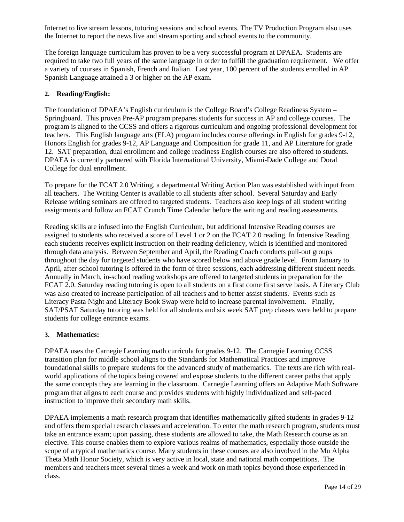Internet to live stream lessons, tutoring sessions and school events. The TV Production Program also uses the Internet to report the news live and stream sporting and school events to the community.

The foreign language curriculum has proven to be a very successful program at DPAEA. Students are required to take two full years of the same language in order to fulfill the graduation requirement. We offer a variety of courses in Spanish, French and Italian. Last year, 100 percent of the students enrolled in AP Spanish Language attained a 3 or higher on the AP exam.

#### **2. Reading/English:**

The foundation of DPAEA's English curriculum is the College Board's College Readiness System – Springboard. This proven Pre-AP program prepares students for success in AP and college courses. The program is aligned to the CCSS and offers a rigorous curriculum and ongoing professional development for teachers. This English language arts (ELA) program includes course offerings in English for grades 9-12, Honors English for grades 9-12, AP Language and Composition for grade 11, and AP Literature for grade 12. SAT preparation, dual enrollment and college readiness English courses are also offered to students. DPAEA is currently partnered with Florida International University, Miami-Dade College and Doral College for dual enrollment.

To prepare for the FCAT 2.0 Writing, a departmental Writing Action Plan was established with input from all teachers. The Writing Center is available to all students after school. Several Saturday and Early Release writing seminars are offered to targeted students. Teachers also keep logs of all student writing assignments and follow an FCAT Crunch Time Calendar before the writing and reading assessments.

Reading skills are infused into the English Curriculum, but additional Intensive Reading courses are assigned to students who received a score of Level 1 or 2 on the FCAT 2.0 reading. In Intensive Reading, each students receives explicit instruction on their reading deficiency, which is identified and monitored through data analysis. Between September and April, the Reading Coach conducts pull-out groups throughout the day for targeted students who have scored below and above grade level. From January to April, after-school tutoring is offered in the form of three sessions, each addressing different student needs. Annually in March, in-school reading workshops are offered to targeted students in preparation for the FCAT 2.0. Saturday reading tutoring is open to all students on a first come first serve basis. A Literacy Club was also created to increase participation of all teachers and to better assist students. Events such as Literacy Pasta Night and Literacy Book Swap were held to increase parental involvement. Finally, SAT/PSAT Saturday tutoring was held for all students and six week SAT prep classes were held to prepare students for college entrance exams.

#### **3. Mathematics:**

DPAEA uses the Carnegie Learning math curricula for grades 9-12. The Carnegie Learning CCSS transition plan for middle school aligns to the Standards for Mathematical Practices and improve foundational skills to prepare students for the advanced study of mathematics. The texts are rich with realworld applications of the topics being covered and expose students to the different career paths that apply the same concepts they are learning in the classroom. Carnegie Learning offers an Adaptive Math Software program that aligns to each course and provides students with highly individualized and self-paced instruction to improve their secondary math skills.

DPAEA implements a math research program that identifies mathematically gifted students in grades 9-12 and offers them special research classes and acceleration. To enter the math research program, students must take an entrance exam; upon passing, these students are allowed to take, the Math Research course as an elective. This course enables them to explore various realms of mathematics, especially those outside the scope of a typical mathematics course. Many students in these courses are also involved in the Mu Alpha Theta Math Honor Society, which is very active in local, state and national math competitions. The members and teachers meet several times a week and work on math topics beyond those experienced in class.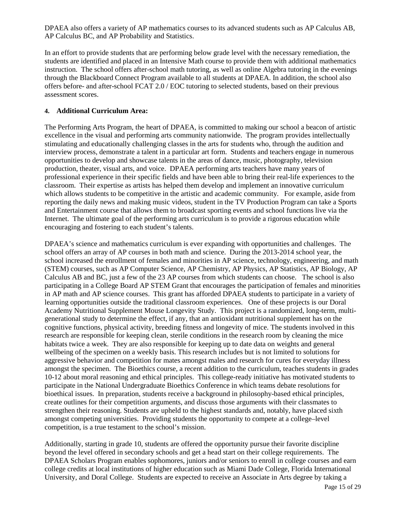DPAEA also offers a variety of AP mathematics courses to its advanced students such as AP Calculus AB, AP Calculus BC, and AP Probability and Statistics.

In an effort to provide students that are performing below grade level with the necessary remediation, the students are identified and placed in an Intensive Math course to provide them with additional mathematics instruction. The school offers after-school math tutoring, as well as online Algebra tutoring in the evenings through the Blackboard Connect Program available to all students at DPAEA. In addition, the school also offers before- and after-school FCAT 2.0 / EOC tutoring to selected students, based on their previous assessment scores.

#### **4. Additional Curriculum Area:**

The Performing Arts Program, the heart of DPAEA, is committed to making our school a beacon of artistic excellence in the visual and performing arts community nationwide. The program provides intellectually stimulating and educationally challenging classes in the arts for students who, through the audition and interview process, demonstrate a talent in a particular art form. Students and teachers engage in numerous opportunities to develop and showcase talents in the areas of dance, music, photography, television production, theater, visual arts, and voice. DPAEA performing arts teachers have many years of professional experience in their specific fields and have been able to bring their real-life experiences to the classroom. Their expertise as artists has helped them develop and implement an innovative curriculum which allows students to be competitive in the artistic and academic community. For example, aside from reporting the daily news and making music videos, student in the TV Production Program can take a Sports and Entertainment course that allows them to broadcast sporting events and school functions live via the Internet. The ultimate goal of the performing arts curriculum is to provide a rigorous education while encouraging and fostering to each student's talents.

DPAEA's science and mathematics curriculum is ever expanding with opportunities and challenges. The school offers an array of AP courses in both math and science. During the 2013-2014 school year, the school increased the enrollment of females and minorities in AP science, technology, engineering, and math (STEM) courses, such as AP Computer Science, AP Chemistry, AP Physics, AP Statistics, AP Biology, AP Calculus AB and BC, just a few of the 23 AP courses from which students can choose. The school is also participating in a College Board AP STEM Grant that encourages the participation of females and minorities in AP math and AP science courses. This grant has afforded DPAEA students to participate in a variety of learning opportunities outside the traditional classroom experiences. One of these projects is our Doral Academy Nutritional Supplement Mouse Longevity Study. This project is a randomized, long-term, multigenerational study to determine the effect, if any, that an antioxidant nutritional supplement has on the cognitive functions, physical activity, breeding fitness and longevity of mice. The students involved in this research are responsible for keeping clean, sterile conditions in the research room by cleaning the mice habitats twice a week. They are also responsible for keeping up to date data on weights and general wellbeing of the specimen on a weekly basis. This research includes but is not limited to solutions for aggressive behavior and competition for mates amongst males and research for cures for everyday illness amongst the specimen. The Bioethics course, a recent addition to the curriculum, teaches students in grades 10-12 about moral reasoning and ethical principles. This college-ready initiative has motivated students to participate in the National Undergraduate Bioethics Conference in which teams debate resolutions for bioethical issues. In preparation, students receive a background in philosophy-based ethical principles, create outlines for their competition arguments, and discuss those arguments with their classmates to strengthen their reasoning. Students are upheld to the highest standards and, notably, have placed sixth amongst competing universities. Providing students the opportunity to compete at a college–level competition, is a true testament to the school's mission.

Additionally, starting in grade 10, students are offered the opportunity pursue their favorite discipline beyond the level offered in secondary schools and get a head start on their college requirements. The DPAEA Scholars Program enables sophomores, juniors and/or seniors to enroll in college courses and earn college credits at local institutions of higher education such as Miami Dade College, Florida International University, and Doral College. Students are expected to receive an Associate in Arts degree by taking a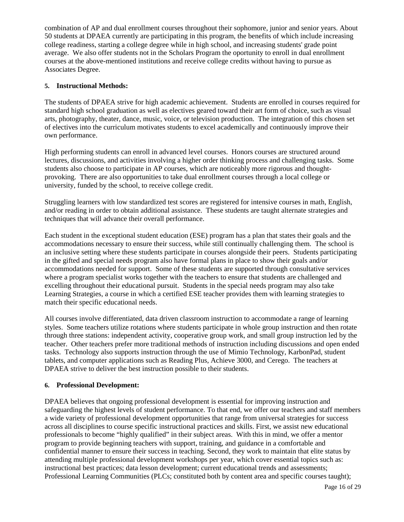combination of AP and dual enrollment courses throughout their sophomore, junior and senior years. About 50 students at DPAEA currently are participating in this program, the benefits of which include increasing college readiness, starting a college degree while in high school, and increasing students' grade point average. We also offer students not in the Scholars Program the oportunity to enroll in dual enrollment courses at the above-mentioned institutions and receive college credits without having to pursue as Associates Degree.

#### **5. Instructional Methods:**

The students of DPAEA strive for high academic achievement. Students are enrolled in courses required for standard high school graduation as well as electives geared toward their art form of choice, such as visual arts, photography, theater, dance, music, voice, or television production. The integration of this chosen set of electives into the curriculum motivates students to excel academically and continuously improve their own performance.

High performing students can enroll in advanced level courses. Honors courses are structured around lectures, discussions, and activities involving a higher order thinking process and challenging tasks. Some students also choose to participate in AP courses, which are noticeably more rigorous and thoughtprovoking. There are also opportunities to take dual enrollment courses through a local college or university, funded by the school, to receive college credit.

Struggling learners with low standardized test scores are registered for intensive courses in math, English, and/or reading in order to obtain additional assistance. These students are taught alternate strategies and techniques that will advance their overall performance.

Each student in the exceptional student education (ESE) program has a plan that states their goals and the accommodations necessary to ensure their success, while still continually challenging them. The school is an inclusive setting where these students participate in courses alongside their peers. Students participating in the gifted and special needs program also have formal plans in place to show their goals and/or accommodations needed for support. Some of these students are supported through consultative services where a program specialist works together with the teachers to ensure that students are challenged and excelling throughout their educational pursuit. Students in the special needs program may also take Learning Strategies, a course in which a certified ESE teacher provides them with learning strategies to match their specific educational needs.

All courses involve differentiated, data driven classroom instruction to accommodate a range of learning styles. Some teachers utilize rotations where students participate in whole group instruction and then rotate through three stations: independent activity, cooperative group work, and small group instruction led by the teacher. Other teachers prefer more traditional methods of instruction including discussions and open ended tasks. Technology also supports instruction through the use of Mimio Technology, KarbonPad, student tablets, and computer applications such as Reading Plus, Achieve 3000, and Cerego. The teachers at DPAEA strive to deliver the best instruction possible to their students.

#### **6. Professional Development:**

DPAEA believes that ongoing professional development is essential for improving instruction and safeguarding the highest levels of student performance. To that end, we offer our teachers and staff members a wide variety of professional development opportunities that range from universal strategies for success across all disciplines to course specific instructional practices and skills. First, we assist new educational professionals to become "highly qualified" in their subject areas. With this in mind, we offer a mentor program to provide beginning teachers with support, training, and guidance in a comfortable and confidential manner to ensure their success in teaching. Second, they work to maintain that elite status by attending multiple professional development workshops per year, which cover essential topics such as: instructional best practices; data lesson development; current educational trends and assessments; Professional Learning Communities (PLCs; constituted both by content area and specific courses taught);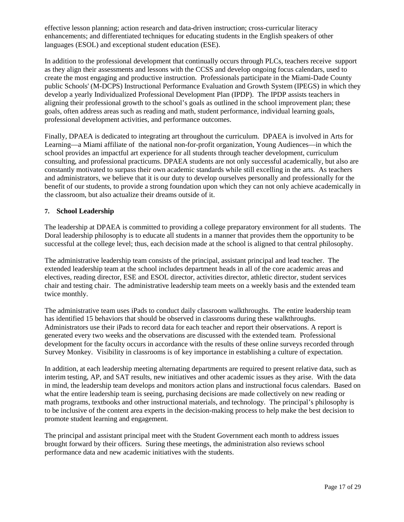effective lesson planning; action research and data-driven instruction; cross-curricular literacy enhancements; and differentiated techniques for educating students in the English speakers of other languages (ESOL) and exceptional student education (ESE).

In addition to the professional development that continually occurs through PLCs, teachers receive support as they align their assessments and lessons with the CCSS and develop ongoing focus calendars, used to create the most engaging and productive instruction. Professionals participate in the Miami-Dade County public Schools' (M-DCPS) Instructional Performance Evaluation and Growth System (IPEGS) in which they develop a yearly Individualized Professional Development Plan (IPDP). The IPDP assists teachers in aligning their professional growth to the school's goals as outlined in the school improvement plan; these goals, often address areas such as reading and math, student performance, individual learning goals, professional development activities, and performance outcomes.

Finally, DPAEA is dedicated to integrating art throughout the curriculum. DPAEA is involved in Arts for Learning—a Miami affiliate of the national non-for-profit organization, Young Audiences—in which the school provides an impactful art experience for all students through teacher development, curriculum consulting, and professional practicums. DPAEA students are not only successful academically, but also are constantly motivated to surpass their own academic standards while still excelling in the arts. As teachers and administrators, we believe that it is our duty to develop ourselves personally and professionally for the benefit of our students, to provide a strong foundation upon which they can not only achieve academically in the classroom, but also actualize their dreams outside of it.

#### **7. School Leadership**

The leadership at DPAEA is committed to providing a college preparatory environment for all students. The Doral leadership philosophy is to educate all students in a manner that provides them the opportunity to be successful at the college level; thus, each decision made at the school is aligned to that central philosophy.

The administrative leadership team consists of the principal, assistant principal and lead teacher. The extended leadership team at the school includes department heads in all of the core academic areas and electives, reading director, ESE and ESOL director, activities director, athletic director, student services chair and testing chair. The administrative leadership team meets on a weekly basis and the extended team twice monthly.

The administrative team uses iPads to conduct daily classroom walkthroughs. The entire leadership team has identified 15 behaviors that should be observed in classrooms during these walkthroughs. Administrators use their iPads to record data for each teacher and report their observations. A report is generated every two weeks and the observations are discussed with the extended team. Professional development for the faculty occurs in accordance with the results of these online surveys recorded through Survey Monkey. Visibility in classrooms is of key importance in establishing a culture of expectation.

In addition, at each leadership meeting alternating departments are required to present relative data, such as interim testing, AP, and SAT results, new initiatives and other academic issues as they arise. With the data in mind, the leadership team develops and monitors action plans and instructional focus calendars. Based on what the entire leadership team is seeing, purchasing decisions are made collectively on new reading or math programs, textbooks and other instructional materials, and technology. The principal's philosophy is to be inclusive of the content area experts in the decision-making process to help make the best decision to promote student learning and engagement.

The principal and assistant principal meet with the Student Government each month to address issues brought forward by their officers. Suring these meetings, the administration also reviews school performance data and new academic initiatives with the students.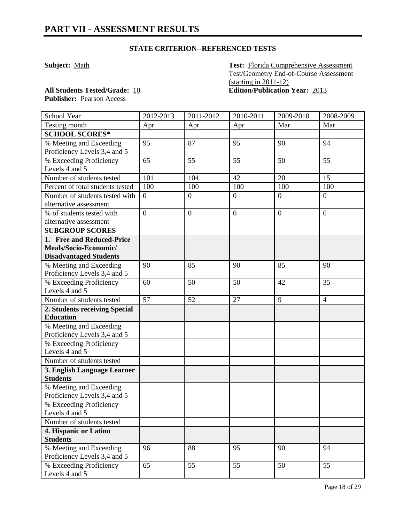### **STATE CRITERION--REFERENCED TESTS**

**Subject:** Math **Test:** Florida Comprehensive Assessment Test/Geometry End-of-Course Assessment (starting in 2011-12) **All Students Tested/Grade:** 10 **Edition/Publication Year:** 2013

**Publisher:** Pearson Access

| School Year                      | 2012-2013        | 2011-2012        | 2010-2011        | 2009-2010        | 2008-2009      |
|----------------------------------|------------------|------------------|------------------|------------------|----------------|
| Testing month                    | Apr              | Apr              | Apr              | Mar              | Mar            |
| <b>SCHOOL SCORES*</b>            |                  |                  |                  |                  |                |
| % Meeting and Exceeding          | 95               | 87               | 95               | 90               | 94             |
| Proficiency Levels 3,4 and 5     |                  |                  |                  |                  |                |
| % Exceeding Proficiency          | 65               | 55               | 55               | 50               | 55             |
| Levels 4 and 5                   |                  |                  |                  |                  |                |
| Number of students tested        | 101              | 104              | 42               | 20               | 15             |
| Percent of total students tested | 100              | 100              | 100              | 100              | 100            |
| Number of students tested with   | $\boldsymbol{0}$ | $\overline{0}$   | $\overline{0}$   | $\overline{0}$   | $\overline{0}$ |
| alternative assessment           |                  |                  |                  |                  |                |
| % of students tested with        | $\overline{0}$   | $\boldsymbol{0}$ | $\boldsymbol{0}$ | $\boldsymbol{0}$ | $\overline{0}$ |
| alternative assessment           |                  |                  |                  |                  |                |
| <b>SUBGROUP SCORES</b>           |                  |                  |                  |                  |                |
| 1. Free and Reduced-Price        |                  |                  |                  |                  |                |
| Meals/Socio-Economic/            |                  |                  |                  |                  |                |
| <b>Disadvantaged Students</b>    |                  |                  |                  |                  |                |
| % Meeting and Exceeding          | 90               | 85               | 90               | 85               | 90             |
| Proficiency Levels 3,4 and 5     |                  |                  |                  |                  |                |
| % Exceeding Proficiency          | 60               | 50               | 50               | 42               | 35             |
| Levels 4 and 5                   |                  |                  |                  |                  |                |
| Number of students tested        | 57               | 52               | 27               | 9                | $\overline{4}$ |
| 2. Students receiving Special    |                  |                  |                  |                  |                |
| <b>Education</b>                 |                  |                  |                  |                  |                |
| % Meeting and Exceeding          |                  |                  |                  |                  |                |
| Proficiency Levels 3,4 and 5     |                  |                  |                  |                  |                |
| % Exceeding Proficiency          |                  |                  |                  |                  |                |
| Levels 4 and 5                   |                  |                  |                  |                  |                |
| Number of students tested        |                  |                  |                  |                  |                |
| 3. English Language Learner      |                  |                  |                  |                  |                |
| <b>Students</b>                  |                  |                  |                  |                  |                |
| % Meeting and Exceeding          |                  |                  |                  |                  |                |
| Proficiency Levels 3,4 and 5     |                  |                  |                  |                  |                |
| % Exceeding Proficiency          |                  |                  |                  |                  |                |
| Levels 4 and 5                   |                  |                  |                  |                  |                |
| Number of students tested        |                  |                  |                  |                  |                |
| 4. Hispanic or Latino            |                  |                  |                  |                  |                |
| <b>Students</b>                  |                  |                  |                  |                  |                |
| % Meeting and Exceeding          | 96               | 88               | 95               | 90               | 94             |
| Proficiency Levels 3,4 and 5     |                  |                  |                  |                  |                |
| % Exceeding Proficiency          | 65               | $\overline{55}$  | 55               | 50               | 55             |
| Levels 4 and 5                   |                  |                  |                  |                  |                |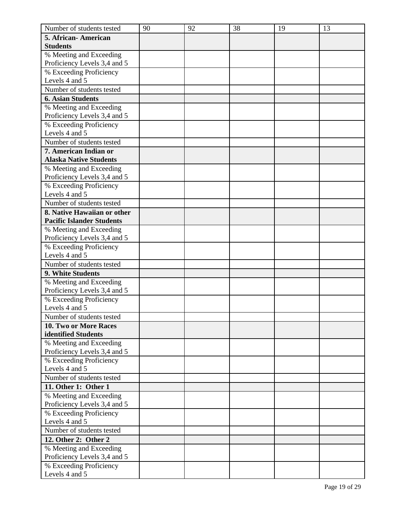| Number of students tested        | 90 | 92 | 38 | 19 | 13 |
|----------------------------------|----|----|----|----|----|
| 5. African-American              |    |    |    |    |    |
| <b>Students</b>                  |    |    |    |    |    |
| % Meeting and Exceeding          |    |    |    |    |    |
| Proficiency Levels 3,4 and 5     |    |    |    |    |    |
| % Exceeding Proficiency          |    |    |    |    |    |
| Levels 4 and 5                   |    |    |    |    |    |
| Number of students tested        |    |    |    |    |    |
| <b>6. Asian Students</b>         |    |    |    |    |    |
| % Meeting and Exceeding          |    |    |    |    |    |
| Proficiency Levels 3,4 and 5     |    |    |    |    |    |
| % Exceeding Proficiency          |    |    |    |    |    |
| Levels 4 and 5                   |    |    |    |    |    |
| Number of students tested        |    |    |    |    |    |
| 7. American Indian or            |    |    |    |    |    |
| <b>Alaska Native Students</b>    |    |    |    |    |    |
| % Meeting and Exceeding          |    |    |    |    |    |
| Proficiency Levels 3,4 and 5     |    |    |    |    |    |
| % Exceeding Proficiency          |    |    |    |    |    |
| Levels 4 and 5                   |    |    |    |    |    |
| Number of students tested        |    |    |    |    |    |
| 8. Native Hawaiian or other      |    |    |    |    |    |
| <b>Pacific Islander Students</b> |    |    |    |    |    |
| % Meeting and Exceeding          |    |    |    |    |    |
| Proficiency Levels 3,4 and 5     |    |    |    |    |    |
| % Exceeding Proficiency          |    |    |    |    |    |
| Levels 4 and 5                   |    |    |    |    |    |
| Number of students tested        |    |    |    |    |    |
| 9. White Students                |    |    |    |    |    |
| % Meeting and Exceeding          |    |    |    |    |    |
| Proficiency Levels 3,4 and 5     |    |    |    |    |    |
| % Exceeding Proficiency          |    |    |    |    |    |
| Levels 4 and 5                   |    |    |    |    |    |
| Number of students tested        |    |    |    |    |    |
| <b>10. Two or More Races</b>     |    |    |    |    |    |
| identified Students              |    |    |    |    |    |
| % Meeting and Exceeding          |    |    |    |    |    |
| Proficiency Levels 3,4 and 5     |    |    |    |    |    |
| % Exceeding Proficiency          |    |    |    |    |    |
| Levels 4 and 5                   |    |    |    |    |    |
| Number of students tested        |    |    |    |    |    |
| 11. Other 1: Other 1             |    |    |    |    |    |
| % Meeting and Exceeding          |    |    |    |    |    |
| Proficiency Levels 3,4 and 5     |    |    |    |    |    |
| % Exceeding Proficiency          |    |    |    |    |    |
| Levels 4 and 5                   |    |    |    |    |    |
| Number of students tested        |    |    |    |    |    |
| 12. Other 2: Other 2             |    |    |    |    |    |
| % Meeting and Exceeding          |    |    |    |    |    |
| Proficiency Levels 3,4 and 5     |    |    |    |    |    |
| % Exceeding Proficiency          |    |    |    |    |    |
| Levels 4 and 5                   |    |    |    |    |    |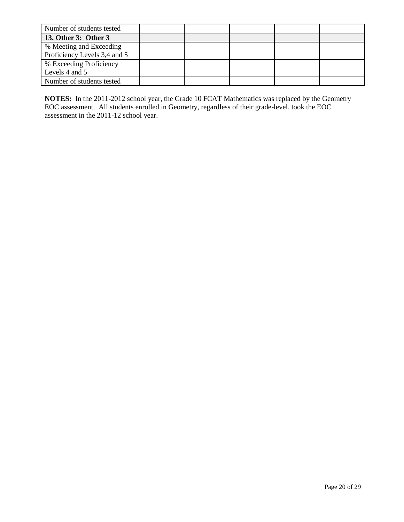| Number of students tested    |  |  |  |
|------------------------------|--|--|--|
| 13. Other 3: Other 3         |  |  |  |
| % Meeting and Exceeding      |  |  |  |
| Proficiency Levels 3,4 and 5 |  |  |  |
| % Exceeding Proficiency      |  |  |  |
| Levels 4 and 5               |  |  |  |
| Number of students tested    |  |  |  |

**NOTES:** In the 2011-2012 school year, the Grade 10 FCAT Mathematics was replaced by the Geometry EOC assessment. All students enrolled in Geometry, regardless of their grade-level, took the EOC assessment in the 2011-12 school year.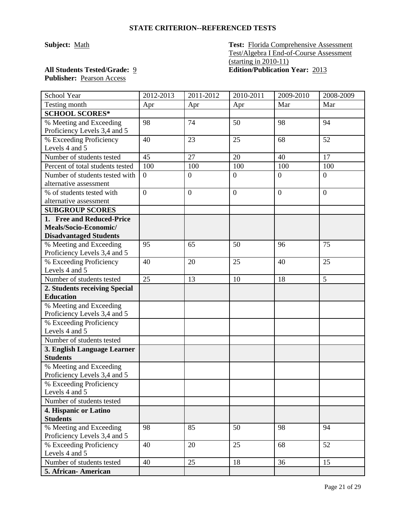#### **STATE CRITERION--REFERENCED TESTS**

**Subject:** Math **Test:** Florida Comprehensive Assessment Test/Algebra I End-of-Course Assessment (starting in 2010-11) **All Students Tested/Grade:** 9 **Edition/Publication Year:** 2013

## Publisher: Pearson Access

| School Year                                             | 2012-2013      | 2011-2012      | 2010-2011    | 2009-2010        | 2008-2009        |
|---------------------------------------------------------|----------------|----------------|--------------|------------------|------------------|
| Testing month                                           | Apr            | Apr            | Apr          | Mar              | Mar              |
| <b>SCHOOL SCORES*</b>                                   |                |                |              |                  |                  |
| % Meeting and Exceeding                                 | 98             | 74             | 50           | 98               | 94               |
| Proficiency Levels 3,4 and 5                            |                |                |              |                  |                  |
| % Exceeding Proficiency                                 | 40             | 23             | 25           | 68               | 52               |
| Levels 4 and 5                                          |                |                |              |                  |                  |
| Number of students tested                               | 45             | 27             | 20           | 40               | 17               |
| Percent of total students tested                        | 100            | 100            | 100          | 100              | 100              |
| Number of students tested with                          | $\overline{0}$ | $\mathbf{0}$   | $\mathbf{0}$ | $\boldsymbol{0}$ | $\boldsymbol{0}$ |
| alternative assessment                                  |                |                |              |                  |                  |
| % of students tested with                               | $\overline{0}$ | $\overline{0}$ | $\mathbf{0}$ | $\overline{0}$   | $\overline{0}$   |
| alternative assessment                                  |                |                |              |                  |                  |
| <b>SUBGROUP SCORES</b>                                  |                |                |              |                  |                  |
| 1. Free and Reduced-Price                               |                |                |              |                  |                  |
| Meals/Socio-Economic/                                   |                |                |              |                  |                  |
| <b>Disadvantaged Students</b>                           |                |                |              |                  |                  |
| % Meeting and Exceeding                                 | 95             | 65             | 50           | 96               | 75               |
| Proficiency Levels 3,4 and 5                            |                |                |              |                  |                  |
| % Exceeding Proficiency                                 | 40             | 20             | 25           | 40               | 25               |
| Levels 4 and 5                                          |                |                |              |                  |                  |
| Number of students tested                               | 25             | 13             | 10           | 18               | 5                |
| 2. Students receiving Special                           |                |                |              |                  |                  |
| <b>Education</b>                                        |                |                |              |                  |                  |
| % Meeting and Exceeding<br>Proficiency Levels 3,4 and 5 |                |                |              |                  |                  |
| % Exceeding Proficiency                                 |                |                |              |                  |                  |
| Levels 4 and 5                                          |                |                |              |                  |                  |
| Number of students tested                               |                |                |              |                  |                  |
| 3. English Language Learner                             |                |                |              |                  |                  |
| <b>Students</b>                                         |                |                |              |                  |                  |
| % Meeting and Exceeding                                 |                |                |              |                  |                  |
| Proficiency Levels 3,4 and 5                            |                |                |              |                  |                  |
| % Exceeding Proficiency                                 |                |                |              |                  |                  |
| Levels 4 and 5                                          |                |                |              |                  |                  |
| Number of students tested                               |                |                |              |                  |                  |
| 4. Hispanic or Latino                                   |                |                |              |                  |                  |
| <b>Students</b>                                         |                |                |              |                  |                  |
| % Meeting and Exceeding                                 | 98             | 85             | 50           | 98               | 94               |
| Proficiency Levels 3,4 and 5                            |                |                |              |                  |                  |
| % Exceeding Proficiency                                 | 40             | 20             | 25           | 68               | 52               |
| Levels 4 and 5                                          |                |                |              |                  |                  |
| Number of students tested                               | 40             | 25             | 18           | 36               | 15               |
| 5. African- American                                    |                |                |              |                  |                  |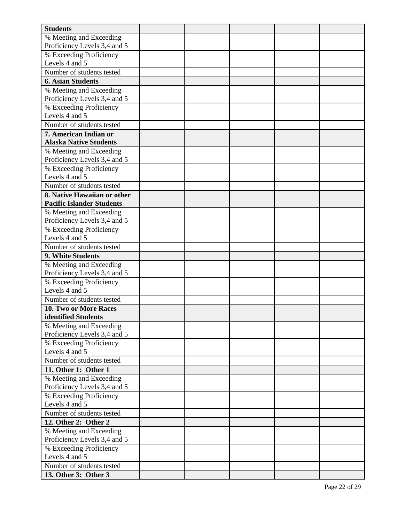| <b>Students</b>                           |  |  |  |
|-------------------------------------------|--|--|--|
| % Meeting and Exceeding                   |  |  |  |
| Proficiency Levels 3,4 and 5              |  |  |  |
| % Exceeding Proficiency                   |  |  |  |
| Levels 4 and 5                            |  |  |  |
| Number of students tested                 |  |  |  |
| <b>6. Asian Students</b>                  |  |  |  |
| % Meeting and Exceeding                   |  |  |  |
| Proficiency Levels 3,4 and 5              |  |  |  |
| % Exceeding Proficiency                   |  |  |  |
| Levels 4 and 5                            |  |  |  |
| Number of students tested                 |  |  |  |
| 7. American Indian or                     |  |  |  |
| <b>Alaska Native Students</b>             |  |  |  |
| % Meeting and Exceeding                   |  |  |  |
| Proficiency Levels 3,4 and 5              |  |  |  |
| % Exceeding Proficiency<br>Levels 4 and 5 |  |  |  |
| Number of students tested                 |  |  |  |
| 8. Native Hawaiian or other               |  |  |  |
| <b>Pacific Islander Students</b>          |  |  |  |
| % Meeting and Exceeding                   |  |  |  |
| Proficiency Levels 3,4 and 5              |  |  |  |
| % Exceeding Proficiency                   |  |  |  |
| Levels 4 and 5                            |  |  |  |
| Number of students tested                 |  |  |  |
| 9. White Students                         |  |  |  |
| % Meeting and Exceeding                   |  |  |  |
| Proficiency Levels 3,4 and 5              |  |  |  |
| % Exceeding Proficiency                   |  |  |  |
| Levels 4 and 5                            |  |  |  |
| Number of students tested                 |  |  |  |
| 10. Two or More Races                     |  |  |  |
| identified Students                       |  |  |  |
| % Meeting and Exceeding                   |  |  |  |
| Proficiency Levels 3,4 and 5              |  |  |  |
| % Exceeding Proficiency                   |  |  |  |
| Levels 4 and 5                            |  |  |  |
| Number of students tested                 |  |  |  |
| 11. Other 1: Other 1                      |  |  |  |
| % Meeting and Exceeding                   |  |  |  |
| Proficiency Levels 3,4 and 5              |  |  |  |
| % Exceeding Proficiency                   |  |  |  |
| Levels 4 and 5                            |  |  |  |
| Number of students tested                 |  |  |  |
| 12. Other 2: Other 2                      |  |  |  |
| % Meeting and Exceeding                   |  |  |  |
| Proficiency Levels 3,4 and 5              |  |  |  |
| % Exceeding Proficiency<br>Levels 4 and 5 |  |  |  |
| Number of students tested                 |  |  |  |
|                                           |  |  |  |
| 13. Other 3: Other 3                      |  |  |  |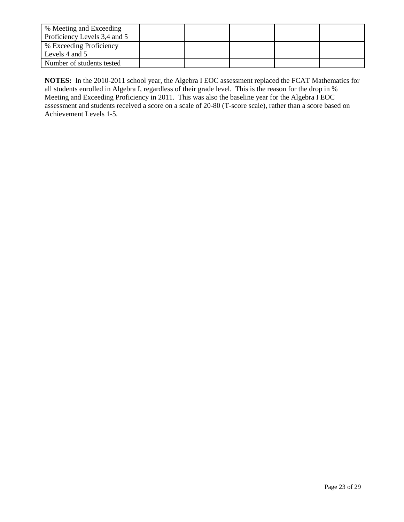| % Meeting and Exceeding      |  |  |  |
|------------------------------|--|--|--|
| Proficiency Levels 3,4 and 5 |  |  |  |
| % Exceeding Proficiency      |  |  |  |
| Levels 4 and 5               |  |  |  |
| Number of students tested    |  |  |  |

**NOTES:** In the 2010-2011 school year, the Algebra I EOC assessment replaced the FCAT Mathematics for all students enrolled in Algebra I, regardless of their grade level. This is the reason for the drop in % Meeting and Exceeding Proficiency in 2011. This was also the baseline year for the Algebra I EOC assessment and students received a score on a scale of 20-80 (T-score scale), rather than a score based on Achievement Levels 1-5.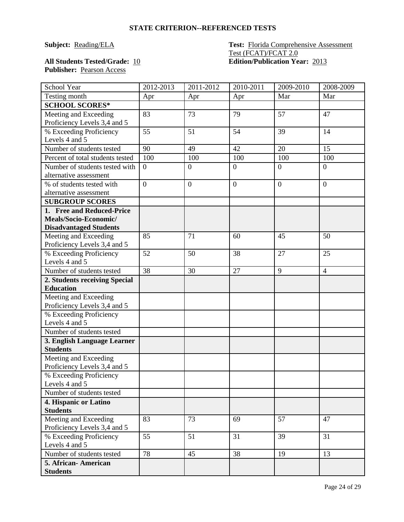#### **STATE CRITERION--REFERENCED TESTS**

#### **Subject:** Reading/ELA **Test:** Florida Comprehensive Assessment Test (FCAT)/FCAT 2.0 **All Students Tested/Grade:** 10 **Edition/Publication Year:** 2013

| <b>All Students Tested/Grade: 10</b> |  |
|--------------------------------------|--|
| <b>Publisher:</b> Pearson Access     |  |

| School Year                                           | 2012-2013      | $2011 - 2012$    | 2010-2011        | 2009-2010      | 2008-2009        |
|-------------------------------------------------------|----------------|------------------|------------------|----------------|------------------|
| Testing month                                         | Apr            | Apr              | Apr              | Mar            | Mar              |
| <b>SCHOOL SCORES*</b>                                 |                |                  |                  |                |                  |
| Meeting and Exceeding                                 | 83             | 73               | 79               | 57             | 47               |
| Proficiency Levels 3,4 and 5                          |                |                  |                  |                |                  |
| % Exceeding Proficiency                               | 55             | 51               | 54               | 39             | 14               |
| Levels 4 and 5                                        |                |                  |                  |                |                  |
| Number of students tested                             | 90             | 49               | 42               | 20             | 15               |
| Percent of total students tested                      | 100            | 100              | 100              | 100            | 100              |
| Number of students tested with                        | $\overline{0}$ | $\boldsymbol{0}$ | $\boldsymbol{0}$ | $\overline{0}$ | $\boldsymbol{0}$ |
| alternative assessment                                |                |                  |                  |                |                  |
| % of students tested with                             | $\overline{0}$ | $\overline{0}$   | $\boldsymbol{0}$ | $\overline{0}$ | $\overline{0}$   |
| alternative assessment                                |                |                  |                  |                |                  |
| <b>SUBGROUP SCORES</b>                                |                |                  |                  |                |                  |
| 1. Free and Reduced-Price                             |                |                  |                  |                |                  |
| Meals/Socio-Economic/                                 |                |                  |                  |                |                  |
| <b>Disadvantaged Students</b>                         |                |                  |                  |                |                  |
| Meeting and Exceeding                                 | 85             | 71               | 60               | 45             | 50               |
| Proficiency Levels 3,4 and 5                          |                |                  |                  |                |                  |
| % Exceeding Proficiency                               | 52             | 50               | 38               | 27             | 25               |
| Levels 4 and 5                                        |                |                  |                  |                |                  |
| Number of students tested                             | 38             | 30               | 27               | 9              | $\overline{4}$   |
| 2. Students receiving Special                         |                |                  |                  |                |                  |
| <b>Education</b>                                      |                |                  |                  |                |                  |
| Meeting and Exceeding                                 |                |                  |                  |                |                  |
| Proficiency Levels 3,4 and 5                          |                |                  |                  |                |                  |
| % Exceeding Proficiency                               |                |                  |                  |                |                  |
| Levels 4 and 5                                        |                |                  |                  |                |                  |
| Number of students tested                             |                |                  |                  |                |                  |
| 3. English Language Learner                           |                |                  |                  |                |                  |
| <b>Students</b>                                       |                |                  |                  |                |                  |
| Meeting and Exceeding                                 |                |                  |                  |                |                  |
| Proficiency Levels 3,4 and 5                          |                |                  |                  |                |                  |
| % Exceeding Proficiency                               |                |                  |                  |                |                  |
| Levels 4 and 5                                        |                |                  |                  |                |                  |
| Number of students tested                             |                |                  |                  |                |                  |
| 4. Hispanic or Latino                                 |                |                  |                  |                |                  |
| <b>Students</b>                                       |                |                  |                  |                |                  |
| Meeting and Exceeding<br>Proficiency Levels 3,4 and 5 | 83             | 73               | 69               | 57             | 47               |
| % Exceeding Proficiency                               | 55             | 51               | 31               | 39             | 31               |
| Levels 4 and 5                                        |                |                  |                  |                |                  |
| Number of students tested                             | 78             | 45               | 38               | 19             | 13               |
| 5. African-American                                   |                |                  |                  |                |                  |
| <b>Students</b>                                       |                |                  |                  |                |                  |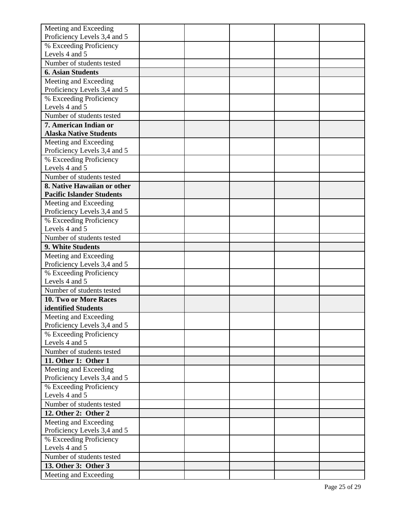| Meeting and Exceeding            |  |  |  |
|----------------------------------|--|--|--|
| Proficiency Levels 3,4 and 5     |  |  |  |
| % Exceeding Proficiency          |  |  |  |
| Levels 4 and 5                   |  |  |  |
| Number of students tested        |  |  |  |
| <b>6. Asian Students</b>         |  |  |  |
| Meeting and Exceeding            |  |  |  |
| Proficiency Levels 3,4 and 5     |  |  |  |
| % Exceeding Proficiency          |  |  |  |
| Levels 4 and 5                   |  |  |  |
| Number of students tested        |  |  |  |
| 7. American Indian or            |  |  |  |
| <b>Alaska Native Students</b>    |  |  |  |
| Meeting and Exceeding            |  |  |  |
| Proficiency Levels 3,4 and 5     |  |  |  |
| % Exceeding Proficiency          |  |  |  |
| Levels 4 and 5                   |  |  |  |
| Number of students tested        |  |  |  |
| 8. Native Hawaiian or other      |  |  |  |
| <b>Pacific Islander Students</b> |  |  |  |
| Meeting and Exceeding            |  |  |  |
| Proficiency Levels 3,4 and 5     |  |  |  |
| % Exceeding Proficiency          |  |  |  |
| Levels 4 and 5                   |  |  |  |
| Number of students tested        |  |  |  |
| 9. White Students                |  |  |  |
| Meeting and Exceeding            |  |  |  |
| Proficiency Levels 3,4 and 5     |  |  |  |
| % Exceeding Proficiency          |  |  |  |
| Levels 4 and 5                   |  |  |  |
| Number of students tested        |  |  |  |
| 10. Two or More Races            |  |  |  |
| identified Students              |  |  |  |
| Meeting and Exceeding            |  |  |  |
| Proficiency Levels 3,4 and 5     |  |  |  |
| % Exceeding Proficiency          |  |  |  |
| Levels 4 and 5                   |  |  |  |
| Number of students tested        |  |  |  |
| 11. Other 1: Other 1             |  |  |  |
| Meeting and Exceeding            |  |  |  |
| Proficiency Levels 3,4 and 5     |  |  |  |
| % Exceeding Proficiency          |  |  |  |
| Levels 4 and 5                   |  |  |  |
| Number of students tested        |  |  |  |
| 12. Other 2: Other 2             |  |  |  |
| Meeting and Exceeding            |  |  |  |
| Proficiency Levels 3,4 and 5     |  |  |  |
| % Exceeding Proficiency          |  |  |  |
| Levels 4 and 5                   |  |  |  |
| Number of students tested        |  |  |  |
| 13. Other 3: Other 3             |  |  |  |
| Meeting and Exceeding            |  |  |  |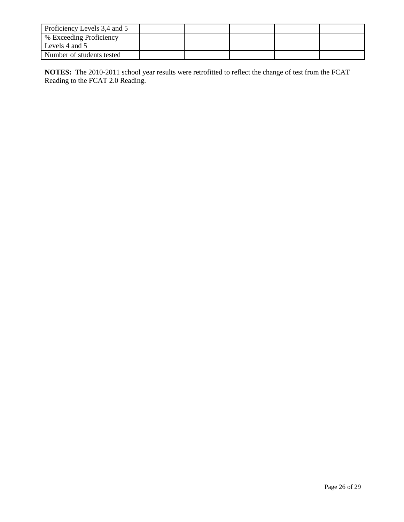| Proficiency Levels 3,4 and 5 |  |  |  |
|------------------------------|--|--|--|
| % Exceeding Proficiency      |  |  |  |
| Levels 4 and 5               |  |  |  |
| Number of students tested    |  |  |  |

**NOTES:** The 2010-2011 school year results were retrofitted to reflect the change of test from the FCAT Reading to the FCAT 2.0 Reading.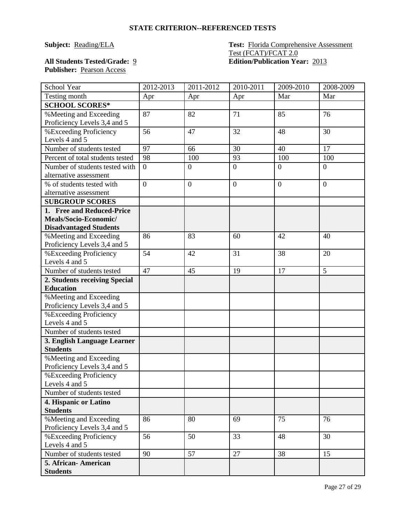#### **STATE CRITERION--REFERENCED TESTS**

#### **Subject:** Reading/ELA **Test:** Florida Comprehensive Assessment Test (FCAT)/FCAT 2.0 **All Students Tested/Grade:** 9 **Edition/Publication Year:** 2013

# **Publisher:** Pearson Access

| School Year                              | 2012-2013      | 2011-2012      | 2010-2011      | 2009-2010      | 2008-2009      |
|------------------------------------------|----------------|----------------|----------------|----------------|----------------|
| Testing month                            | Apr            | Apr            | Apr            | Mar            | Mar            |
| <b>SCHOOL SCORES*</b>                    |                |                |                |                |                |
| % Meeting and Exceeding                  | 87             | 82             | 71             | 85             | 76             |
| Proficiency Levels 3,4 and 5             |                |                |                |                |                |
| %Exceeding Proficiency                   | 56             | 47             | 32             | 48             | 30             |
| Levels 4 and 5                           |                |                |                |                |                |
| Number of students tested                | 97             | 66             | 30             | 40             | 17             |
| Percent of total students tested         | 98             | 100            | 93             | 100            | 100            |
| Number of students tested with           | $\overline{0}$ | $\overline{0}$ | $\overline{0}$ | $\overline{0}$ | $\overline{0}$ |
| alternative assessment                   |                |                |                |                |                |
| % of students tested with                | $\overline{0}$ | $\overline{0}$ | $\overline{0}$ | $\overline{0}$ | $\overline{0}$ |
| alternative assessment                   |                |                |                |                |                |
| <b>SUBGROUP SCORES</b>                   |                |                |                |                |                |
| 1. Free and Reduced-Price                |                |                |                |                |                |
| Meals/Socio-Economic/                    |                |                |                |                |                |
| <b>Disadvantaged Students</b>            |                |                |                |                |                |
| % Meeting and Exceeding                  | 86             | 83             | 60             | 42             | 40             |
| Proficiency Levels 3,4 and 5             |                |                |                |                |                |
| %Exceeding Proficiency                   | 54             | 42             | 31             | 38             | 20             |
| Levels 4 and 5                           |                |                |                |                |                |
| Number of students tested                | 47             | 45             | 19             | 17             | 5              |
| 2. Students receiving Special            |                |                |                |                |                |
| <b>Education</b>                         |                |                |                |                |                |
| % Meeting and Exceeding                  |                |                |                |                |                |
| Proficiency Levels 3,4 and 5             |                |                |                |                |                |
| %Exceeding Proficiency                   |                |                |                |                |                |
| Levels 4 and 5                           |                |                |                |                |                |
| Number of students tested                |                |                |                |                |                |
| 3. English Language Learner              |                |                |                |                |                |
| <b>Students</b>                          |                |                |                |                |                |
| % Meeting and Exceeding                  |                |                |                |                |                |
| Proficiency Levels 3,4 and 5             |                |                |                |                |                |
| %Exceeding Proficiency<br>Levels 4 and 5 |                |                |                |                |                |
| Number of students tested                |                |                |                |                |                |
|                                          |                |                |                |                |                |
| 4. Hispanic or Latino<br><b>Students</b> |                |                |                |                |                |
| % Meeting and Exceeding                  | 86             | 80             | 69             | 75             | 76             |
| Proficiency Levels 3,4 and 5             |                |                |                |                |                |
| %Exceeding Proficiency                   | 56             | 50             | 33             | 48             | 30             |
| Levels 4 and 5                           |                |                |                |                |                |
| Number of students tested                | 90             | 57             | 27             | 38             | 15             |
| 5. African-American                      |                |                |                |                |                |
| <b>Students</b>                          |                |                |                |                |                |
|                                          |                |                |                |                |                |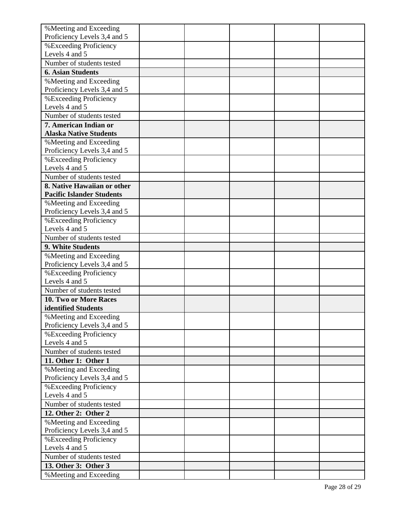| % Meeting and Exceeding                                |  |  |  |
|--------------------------------------------------------|--|--|--|
| Proficiency Levels 3,4 and 5                           |  |  |  |
| %Exceeding Proficiency                                 |  |  |  |
| Levels 4 and 5                                         |  |  |  |
| Number of students tested                              |  |  |  |
| <b>6. Asian Students</b>                               |  |  |  |
| % Meeting and Exceeding                                |  |  |  |
| Proficiency Levels 3,4 and 5                           |  |  |  |
| %Exceeding Proficiency                                 |  |  |  |
| Levels 4 and 5                                         |  |  |  |
| Number of students tested                              |  |  |  |
| 7. American Indian or                                  |  |  |  |
| <b>Alaska Native Students</b>                          |  |  |  |
| % Meeting and Exceeding                                |  |  |  |
| Proficiency Levels 3,4 and 5                           |  |  |  |
| <b>%Exceeding Proficiency</b>                          |  |  |  |
| Levels 4 and 5                                         |  |  |  |
| Number of students tested                              |  |  |  |
| 8. Native Hawaiian or other                            |  |  |  |
| <b>Pacific Islander Students</b>                       |  |  |  |
| % Meeting and Exceeding                                |  |  |  |
| Proficiency Levels 3,4 and 5<br>%Exceeding Proficiency |  |  |  |
| Levels 4 and 5                                         |  |  |  |
| Number of students tested                              |  |  |  |
|                                                        |  |  |  |
| 9. White Students                                      |  |  |  |
| % Meeting and Exceeding                                |  |  |  |
| Proficiency Levels 3,4 and 5<br>%Exceeding Proficiency |  |  |  |
| Levels 4 and 5                                         |  |  |  |
| Number of students tested                              |  |  |  |
| 10. Two or More Races                                  |  |  |  |
| identified Students                                    |  |  |  |
| % Meeting and Exceeding                                |  |  |  |
| Proficiency Levels 3,4 and 5                           |  |  |  |
| %Exceeding Proficiency                                 |  |  |  |
| Levels 4 and 5                                         |  |  |  |
| Number of students tested                              |  |  |  |
| 11. Other 1: Other 1                                   |  |  |  |
| % Meeting and Exceeding                                |  |  |  |
| Proficiency Levels 3,4 and 5                           |  |  |  |
| %Exceeding Proficiency                                 |  |  |  |
| Levels 4 and 5                                         |  |  |  |
| Number of students tested                              |  |  |  |
| 12. Other 2: Other 2                                   |  |  |  |
| % Meeting and Exceeding                                |  |  |  |
| Proficiency Levels 3,4 and 5                           |  |  |  |
| %Exceeding Proficiency                                 |  |  |  |
| Levels 4 and 5                                         |  |  |  |
| Number of students tested                              |  |  |  |
| 13. Other 3: Other 3                                   |  |  |  |
| % Meeting and Exceeding                                |  |  |  |
|                                                        |  |  |  |